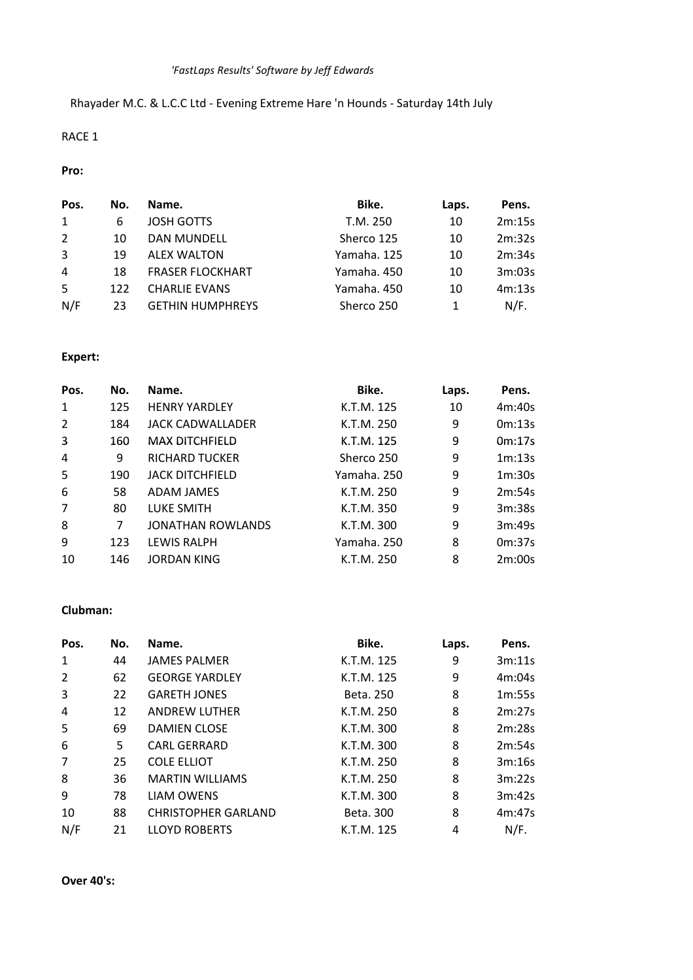Rhayader M.C. & L.C.C Ltd - Evening Extreme Hare 'n Hounds - Saturday 14th July

## RACE 1

#### **Pro:**

| Pos.           | No. | Name.                   | Bike.       | Laps. | Pens.  |
|----------------|-----|-------------------------|-------------|-------|--------|
| 1              | 6   | <b>JOSH GOTTS</b>       | T.M. 250    | 10    | 2m:15s |
| 2              | 10  | <b>DAN MUNDELL</b>      | Sherco 125  | 10    | 2m:32s |
| $\overline{3}$ | 19  | <b>ALEX WALTON</b>      | Yamaha, 125 | 10    | 2m:34s |
| 4              | 18  | <b>FRASER FLOCKHART</b> | Yamaha, 450 | 10    | 3m:03s |
| -5             | 122 | <b>CHARLIE EVANS</b>    | Yamaha. 450 | 10    | 4m:13s |
| N/F            | 23  | <b>GETHIN HUMPHREYS</b> | Sherco 250  |       | N/F.   |

# **Expert:**

| Pos.           | No. | Name.                    | Bike.       | Laps. | Pens.  |
|----------------|-----|--------------------------|-------------|-------|--------|
| $\mathbf{1}$   | 125 | <b>HENRY YARDLEY</b>     | K.T.M. 125  | 10    | 4m:40s |
| $\overline{2}$ | 184 | JACK CADWALLADER         | K.T.M. 250  | 9     | 0m:13s |
| 3              | 160 | <b>MAX DITCHFIELD</b>    | K.T.M. 125  | 9     | 0m:17s |
| 4              | 9   | <b>RICHARD TUCKER</b>    | Sherco 250  | 9     | 1m:13s |
| 5              | 190 | <b>JACK DITCHFIELD</b>   | Yamaha. 250 | 9     | 1m:30s |
| 6              | 58  | <b>ADAM JAMES</b>        | K.T.M. 250  | 9     | 2m:54s |
| $\overline{7}$ | 80  | <b>LUKE SMITH</b>        | K.T.M. 350  | 9     | 3m:38s |
| 8              | 7   | <b>JONATHAN ROWLANDS</b> | K.T.M. 300  | 9     | 3m:49s |
| 9              | 123 | <b>LEWIS RALPH</b>       | Yamaha. 250 | 8     | 0m:37s |
| 10             | 146 | <b>JORDAN KING</b>       | K.T.M. 250  | 8     | 2m:00s |

### **Clubman:**

| Pos.           | No. | Name.                      | Bike.      | Laps. | Pens.  |
|----------------|-----|----------------------------|------------|-------|--------|
| 1              | 44  | <b>JAMES PALMER</b>        | K.T.M. 125 | 9     | 3m:11s |
| $\overline{2}$ | 62  | <b>GEORGE YARDLEY</b>      | K.T.M. 125 | 9     | 4m:04s |
| 3              | 22  | <b>GARETH JONES</b>        | Beta, 250  | 8     | 1m:55s |
| 4              | 12  | <b>ANDREW LUTHER</b>       | K.T.M. 250 | 8     | 2m:27s |
| 5              | 69  | <b>DAMIEN CLOSE</b>        | K.T.M. 300 | 8     | 2m:28s |
| 6              | 5   | <b>CARL GERRARD</b>        | K.T.M. 300 | 8     | 2m:54s |
| $\overline{7}$ | 25  | <b>COLE ELLIOT</b>         | K.T.M. 250 | 8     | 3m:16s |
| 8              | 36  | <b>MARTIN WILLIAMS</b>     | K.T.M. 250 | 8     | 3m:22s |
| 9              | 78  | <b>LIAM OWENS</b>          | K.T.M. 300 | 8     | 3m:42s |
| 10             | 88  | <b>CHRISTOPHER GARLAND</b> | Beta, 300  | 8     | 4m:47s |
| N/F            | 21  | <b>LLOYD ROBERTS</b>       | K.T.M. 125 | 4     | N/F.   |